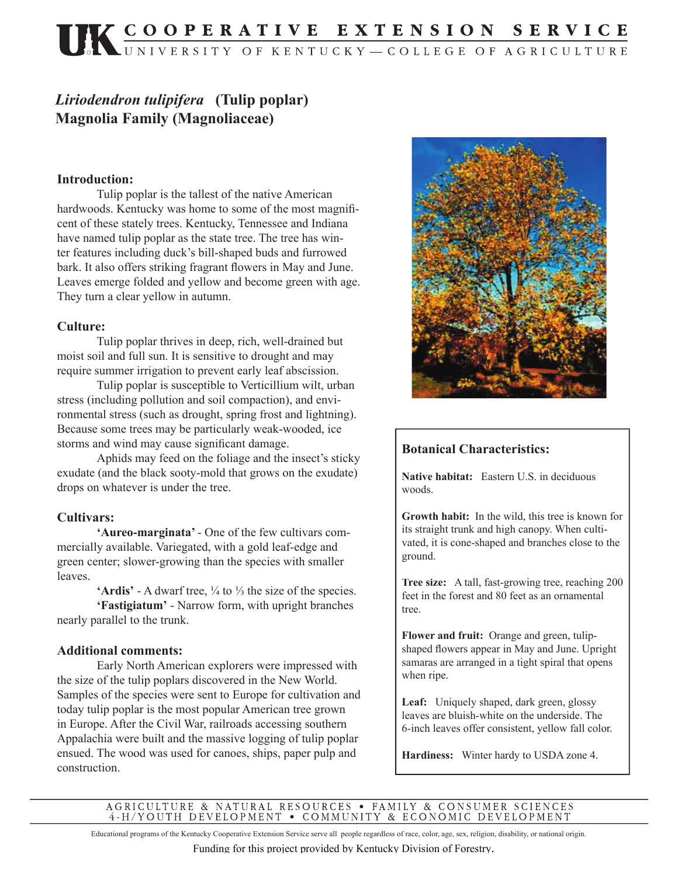# *Liriodendron tulipifera* **(Tulip poplar) Magnolia Family (Magnoliaceae)**

#### **Introduction:**

 Tulip poplar is the tallest of the native American hardwoods. Kentucky was home to some of the most magnificent of these stately trees. Kentucky, Tennessee and Indiana have named tulip poplar as the state tree. The tree has winter features including duck's bill-shaped buds and furrowed bark. It also offers striking fragrant flowers in May and June. Leaves emerge folded and yellow and become green with age. They turn a clear yellow in autumn.

#### **Culture:**

 Tulip poplar thrives in deep, rich, well-drained but moist soil and full sun. It is sensitive to drought and may require summer irrigation to prevent early leaf abscission.

 Tulip poplar is susceptible to Verticillium wilt, urban stress (including pollution and soil compaction), and environmental stress (such as drought, spring frost and lightning). Because some trees may be particularly weak-wooded, ice storms and wind may cause significant damage.

 Aphids may feed on the foliage and the insect's sticky exudate (and the black sooty-mold that grows on the exudate) drops on whatever is under the tree.

### **Cultivars:**

**'Aureo-marginata'** - One of the few cultivars commercially available. Variegated, with a gold leaf-edge and green center; slower-growing than the species with smaller leaves.

**'Ardis'** - A dwarf tree, ¼ to ⅓ the size of the species. **'Fastigiatum'** - Narrow form, with upright branches

nearly parallel to the trunk.

#### **Additional comments:**

Early North American explorers were impressed with the size of the tulip poplars discovered in the New World. Samples of the species were sent to Europe for cultivation and today tulip poplar is the most popular American tree grown in Europe. After the Civil War, railroads accessing southern Appalachia were built and the massive logging of tulip poplar ensued. The wood was used for canoes, ships, paper pulp and construction.



### **Botanical Characteristics:**

**Native habitat:** Eastern U.S. in deciduous woods.

**Growth habit:** In the wild, this tree is known for its straight trunk and high canopy. When cultivated, it is cone-shaped and branches close to the ground.

**Tree size:** A tall, fast-growing tree, reaching 200 feet in the forest and 80 feet as an ornamental tree.

**Flower and fruit:** Orange and green, tulipshaped flowers appear in May and June. Upright samaras are arranged in a tight spiral that opens when ripe.

Leaf: Uniquely shaped, dark green, glossy leaves are bluish-white on the underside. The 6-inch leaves offer consistent, yellow fall color.

**Hardiness:** Winter hardy to USDA zone 4.

AGRICULTURE & NATURAL RESOURCES • FAMILY & CONSUMER SCIENCES 4-H/YOUTH DEVELOPMENT • COMMUNITY & ECONOMIC DEVELOPMENT

Educational programs of the Kentucky Cooperative Extension Service serve all people regardless of race, color, age, sex, religion, disability, or national origin.

Funding for this project provided by Kentucky Division of Forestry.